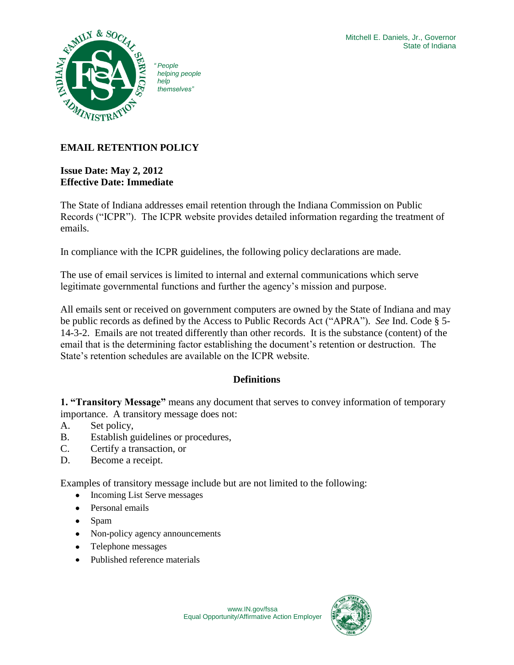

*" People helping people themselves"*

# **EMAIL RETENTION POLICY**

# **Issue Date: May 2, 2012 Effective Date: Immediate**

The State of Indiana addresses email retention through the Indiana Commission on Public Records ("ICPR"). The ICPR website provides detailed information regarding the treatment of emails.

In compliance with the ICPR guidelines, the following policy declarations are made.

The use of email services is limited to internal and external communications which serve legitimate governmental functions and further the agency's mission and purpose.

All emails sent or received on government computers are owned by the State of Indiana and may be public records as defined by the Access to Public Records Act ("APRA"). *See* Ind. Code § 5- 14-3-2. Emails are not treated differently than other records. It is the substance (content) of the email that is the determining factor establishing the document's retention or destruction. The State's retention schedules are available on the ICPR website.

# **Definitions**

**1. "Transitory Message"** means any document that serves to convey information of temporary importance. A transitory message does not:

- A. Set policy,
- B. Establish guidelines or procedures,
- C. Certify a transaction, or
- D. Become a receipt.

Examples of transitory message include but are not limited to the following:

- $\bullet$ Incoming List Serve messages
- Personal emails  $\bullet$
- Spam
- Non-policy agency announcements
- Telephone messages
- Published reference materials

www.IN.gov/fssa Equal Opportunity/Affirmative Action Employer

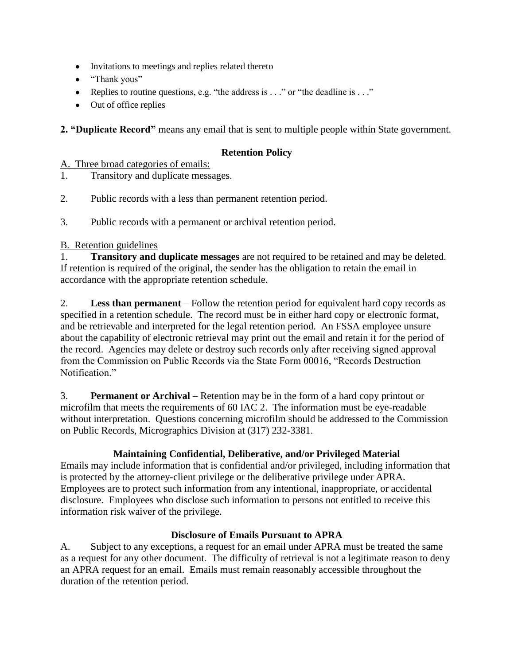- Invitations to meetings and replies related thereto
- "Thank yous"
- Replies to routine questions, e.g. "the address is  $\ldots$  " or "the deadline is  $\ldots$  "
- Out of office replies

**2. "Duplicate Record"** means any email that is sent to multiple people within State government.

# **Retention Policy**

#### A. Three broad categories of emails:

- 1. Transitory and duplicate messages.
- 2. Public records with a less than permanent retention period.
- 3. Public records with a permanent or archival retention period.

# B. Retention guidelines

1. **Transitory and duplicate messages** are not required to be retained and may be deleted. If retention is required of the original, the sender has the obligation to retain the email in accordance with the appropriate retention schedule.

2. **Less than permanent** – Follow the retention period for equivalent hard copy records as specified in a retention schedule. The record must be in either hard copy or electronic format, and be retrievable and interpreted for the legal retention period. An FSSA employee unsure about the capability of electronic retrieval may print out the email and retain it for the period of the record. Agencies may delete or destroy such records only after receiving signed approval from the Commission on Public Records via the State Form 00016, "Records Destruction Notification<sup>"</sup>

3. **Permanent or Archival –** Retention may be in the form of a hard copy printout or microfilm that meets the requirements of 60 IAC 2. The information must be eye-readable without interpretation. Questions concerning microfilm should be addressed to the Commission on Public Records, Micrographics Division at (317) 232-3381.

# **Maintaining Confidential, Deliberative, and/or Privileged Material**

Emails may include information that is confidential and/or privileged, including information that is protected by the attorney-client privilege or the deliberative privilege under APRA. Employees are to protect such information from any intentional, inappropriate, or accidental disclosure. Employees who disclose such information to persons not entitled to receive this information risk waiver of the privilege.

# **Disclosure of Emails Pursuant to APRA**

A. Subject to any exceptions, a request for an email under APRA must be treated the same as a request for any other document. The difficulty of retrieval is not a legitimate reason to deny an APRA request for an email. Emails must remain reasonably accessible throughout the duration of the retention period.